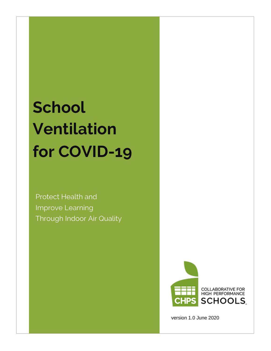# **School Ventilation for COVID-19**

Protect Health and Improve Learning Through Indoor Air Quality



version 1.0 June 2020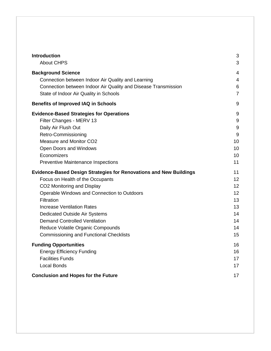| <b>Introduction</b>                                                       | 3              |
|---------------------------------------------------------------------------|----------------|
| <b>About CHPS</b>                                                         | 3              |
| <b>Background Science</b>                                                 | 4              |
| Connection between Indoor Air Quality and Learning                        | $\overline{4}$ |
| Connection between Indoor Air Quality and Disease Transmission            | 6              |
| State of Indoor Air Quality in Schools                                    | $\overline{7}$ |
| <b>Benefits of Improved IAQ in Schools</b>                                | 9              |
| <b>Evidence-Based Strategies for Operations</b>                           | 9              |
| Filter Changes - MERV 13                                                  | 9              |
| Daily Air Flush Out                                                       | $9\,$          |
| Retro-Commissioning                                                       | 9              |
| Measure and Monitor CO2                                                   | 10             |
| Open Doors and Windows                                                    | 10             |
| Economizers                                                               | 10             |
| <b>Preventive Maintenance Inspections</b>                                 | 11             |
| <b>Evidence-Based Design Strategies for Renovations and New Buildings</b> | 11             |
| Focus on Health of the Occupants                                          | 12             |
| CO2 Monitoring and Display                                                | 12             |
| Operable Windows and Connection to Outdoors                               | 12             |
| Filtration                                                                | 13             |
| <b>Increase Ventilation Rates</b>                                         | 13             |
| <b>Dedicated Outside Air Systems</b>                                      | 14             |
| <b>Demand Controlled Ventilation</b>                                      | 14             |
| Reduce Volatile Organic Compounds                                         | 14             |
| <b>Commissioning and Functional Checklists</b>                            | 15             |
| <b>Funding Opportunities</b>                                              | 16             |
| <b>Energy Efficiency Funding</b>                                          | 16             |
| <b>Facilities Funds</b>                                                   | 17             |
| <b>Local Bonds</b>                                                        | 17             |
| <b>Conclusion and Hopes for the Future</b>                                |                |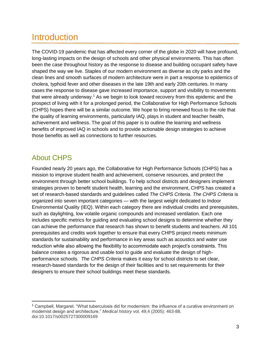## <span id="page-2-0"></span>**Introduction**

The COVID-19 pandemic that has affected every corner of the globe in 2020 will have profound, long-lasting impacts on the design of schools and other physical environments. This has often been the case throughout history as the response to disease and building occupant safety have shaped the way we live. Staples of our modern environment as diverse as city parks and the clean lines and smooth surfaces of modern architecture were in part a response to epidemics of cholera, typhoid fever and other diseases in the late 19th and early 20th centuries. In many cases the response to disease gave increased importance, support and visibility to movements that were already underway.<sup>1</sup> As we begin to look toward recovery from this epidemic and the prospect of living with it for a prolonged period, the Collaborative for High Performance Schools (CHPS) hopes there will be a similar outcome. We hope to bring renewed focus to the role that the quality of learning environments, particularly IAQ, plays in student and teacher health, achievement and wellness. The goal of this paper is to outline the learning and wellness benefits of improved IAQ in schools and to provide actionable design strategies to achieve those benefits as well as connections to further resources.

#### <span id="page-2-1"></span>About CHPS

 $\overline{a}$ 

Founded nearly 20 years ago, the Collaborative for High Performance Schools (CHPS) has a mission to improve student health and achievement, conserve resources, and protect the environment through better school buildings. To help school districts and designers implement strategies proven to benefit student health, learning and the environment, CHPS has created a set of research-based standards and guidelines called *The CHPS Criteria*. *The CHPS Criteria* is organized into seven important categories — with the largest weight dedicated to Indoor Environmental Quality (IEQ). Within each category there are individual credits and prerequisites, such as daylighting, low volatile organic compounds and increased ventilation. Each one includes specific metrics for guiding and evaluating school designs to determine whether they can achieve the performance that research has shown to benefit students and teachers. All 101 prerequisites and credits work together to ensure that every CHPS project meets minimum standards for sustainability and performance in key areas such as acoustics and water use reduction while also allowing the flexibility to accommodate each project's constraints. This balance creates a rigorous and usable tool to guide and evaluate the design of highperformance schools. *The CHPS Criteria* makes it easy for school districts to set clear, research-based standards for the design of their facilities and to set requirements for their designers to ensure their school buildings meet these standards.

<sup>&</sup>lt;sup>1</sup> Campbell, Margaret. "What tuberculosis did for modernism: the influence of a curative environment on modernist design and architecture." *Medical history* vol. 49,4 (2005): 463-88. doi:10.1017/s0025727300009169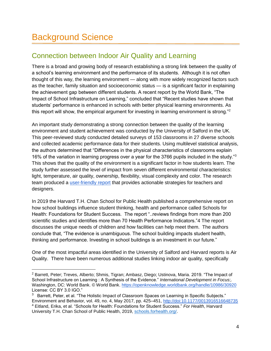#### <span id="page-3-1"></span><span id="page-3-0"></span>Connection between Indoor Air Quality and Learning

There is a broad and growing body of research establishing a strong link between the quality of a school's learning environment and the performance of its students. Although it is not often thought of this way, the learning environment — along with more widely recognized factors such as the teacher, family situation and socioeconomic status — is a significant factor in explaining the achievement gap between different students. A recent report by the World Bank, "The Impact of School Infrastructure on Learning," concluded that "Recent studies have shown that students' performance is enhanced in schools with better physical learning environments. As this report will show, the empirical argument for investing in learning environment is strong."<sup>2</sup>

An important study demonstrating a strong connection between the quality of the learning environment and student achievement was conducted by the University of Salford in the UK. This peer-reviewed study conducted detailed surveys of 153 classrooms in 27 diverse schools and collected academic performance data for their students. Using multilevel statistical analysis, the authors determined that "Differences in the physical characteristics of classrooms explain 16% of the variation in learning progress over a year for the 3766 pupils included in the study."<sup>3</sup> This shows that the quality of the environment is a significant factor in how students learn. The study further assessed the level of impact from seven different environmental characteristics: light, temperature, air quality, ownership, flexibility, visual complexity and color. The research team produced a [user-friendly report](http://usir.salford.ac.uk/id/eprint/35221/1/120515%20Clever%20Classrooms.pdf) that provides actionable strategies for teachers and designers.

In 2019 the Harvard T.H. Chan School for Public Health published a comprehensive report on how school buildings influence student thinking, health and performance called Schools for Health: Foundations for Student Success. The report "..reviews findings from more than 200 scientific studies and identifies more than 70 Health Performance Indicators."4 The report discusses the unique needs of children and how facilities can help meet them. The authors conclude that, "The evidence is unambiguous. The school building impacts student health, thinking and performance. Investing in school buildings is an investment in our future."

One of the most impactful areas identified in the University of Salford and Harvard reports is Air Quality. There have been numerous additional studies linking indoor air quality, specifically

<sup>2</sup> Barrett, Peter; Treves, Alberto; Shmis, Tigran; Ambasz, Diego; Ustinova, Maria. 2019. "The Impact of School Infrastructure on Learning : A Synthesis of the Evidence." *International Development in Focus*;. Washington, DC: World Bank. © World Bank.<https://openknowledge.worldbank.org/handle/10986/30920> License: CC BY 3.0 IGO."

 $3$  Barrett, Peter, et al. "The Holistic Impact of Classroom Spaces on Learning in Specific Subjects." Environment and Behavior, vol. 49, no. 4, May 2017, pp. 425–451, [http://doi:10.1177/0013916516648735](about:blank)  <sup>4</sup> Eitland, Erika, et al. "Schools for Health: Foundations for Student Success." *For Health*, Harvard University T.H. Chan School of Public Health, 2019, [schools.forhealth.org/.](schools.forhealth.org/)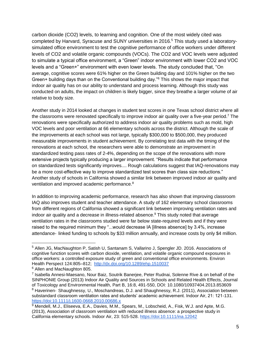carbon dioxide (CO2) levels, to learning and cognition. One of the most widely cited was completed by Harvard, Syracuse and SUNY universities in 2016.<sup>5</sup> This study used a laboratorysimulated office environment to test the cognitive performance of office workers under different levels of CO2 and volatile organic compounds (VOCs). The CO2 and VOC levels were adjusted to simulate a typical office environment, a "Green" indoor environment with lower CO2 and VOC levels and a "Green+" environment with even lower levels. The study concluded that, "On average, cognitive scores were 61% higher on the Green building day and 101% higher on the two Green+ building days than on the Conventional building day."<sup>6</sup> This shows the major impact that indoor air quality has on our ability to understand and process learning. Although this study was conducted on adults, the impact on children is likely bigger, since they breathe a larger volume of air relative to body size.

Another study in 2014 looked at changes in student test scores in one Texas school district where all the classrooms were renovated specifically to improve indoor air quality over a five-year period.<sup>7</sup> The renovations were specifically authorized to address indoor air quality problems such as mold, high VOC levels and poor ventilation at 66 elementary schools across the district. Although the scale of the improvements at each school was not large, typically \$300,000 to \$500,000, they produced measurable improvements in student achievement. By correlating test data with the timing of the renovations at each school, the researchers were able to demonstrate an improvement in standardized testing pass rates of 2-4%, depending on the scope of the renovations with more extensive projects typically producing a larger improvement. "Results indicate that performance on standardized tests significantly improves.... Rough calculations suggest that IAQ-renovations may be a more cost-effective way to improve standardized test scores than class size reductions." Another study of schools in California showed a similar link between improved indoor air quality and ventilation and improved academic performance.<sup>8</sup>

In addition to improving academic performance, research has also shown that improving classroom IAQ also improves student and teacher attendance. A study of 162 elementary school classrooms from different regions of California showed a significant link between improving ventilation rates and indoor air quality and a decrease in illness-related absence.<sup>9</sup> This study noted that average ventilation rates in the classrooms studied were far below state-required levels and if they were raised to the required minimum they "...would decrease IA [illness absence] by 3.4%, increase attendance‐ linked funding to schools by \$33 million annually, and increase costs by only \$4 million.

<sup>5</sup> Allen JG, MacNaughton P, Satish U, Santanam S, Vallarino J, Spengler JD. 2016. Associations of cognitive function scores with carbon dioxide, ventilation, and volatile organic compound exposures in office workers: a controlled exposure study of green and conventional office environments. Environ Health Perspect 124:805–812; <http://dx.doi.org/10.1289/ehp.1510037>

<sup>6</sup> Allen and MacNaughton 805.

<sup>&</sup>lt;sup>7</sup> Isabella Annesi-Maesano, Nour Baiz, Soutrik Banerjee, Peter Rudnai, Solenne Rive & on behalf of the SINPHONIE Group (2013) Indoor Air Quality and Sources in Schools and Related Health Effects, Journal of Toxicology and Environmental Health, Part B, 16:8, 491-550, DOI: 10.1080/10937404.2013.853609

<sup>8</sup> Haverinen- Shaughnessy, U., Moschandreas, D.J. and Shaughnessy, R.J. (2011), Association between substandard classroom ventilation rates and students' academic achievement. Indoor Air, 21: 121-131. [https://doi:10.1111/j.1600-0668.2010.00686.x](about:blank)

<sup>9</sup> Mendell, M.J., Eliseeva, E.A., Davies, M.M., Spears, M., Lobscheid, A., Fisk, W.J. and Apte, M.G. (2013), Association of classroom ventilation with reduced illness absence: a prospective study in California elementary schools. Indoor Air, 23: 515-528. [https://doi:10.1111/ina.12042](about:blank)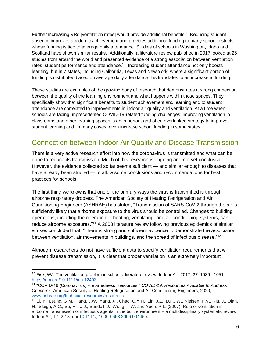Further increasing VRs [ventilation rates] would provide additional benefits." Reducing student absence improves academic achievement and provides additional funding to many school districts whose funding is tied to average daily attendance. Studies of schools in Washington, Idaho and Scotland have shown similar results. Additionally, a literature review published in 2017 looked at 26 studies from around the world and presented evidence of a strong association between ventilation rates, student performance and attendance.<sup>10</sup> Increasing student attendance not only boosts learning, but in 7 states, including California, Texas and New York, where a significant portion of funding is distributed based on average daily attendance this translates to an increase in funding.

These studies are examples of the growing body of research that demonstrates a strong connection between the quality of the learning environment and what happens within those spaces. They specifically show that significant benefits to student achievement and learning and to student attendance are correlated to improvements in indoor air quality and ventilation. At a time when schools are facing unprecedented COVID-19-related funding challenges, improving ventilation in classrooms and other learning spaces is an important and often overlooked strategy to improve student learning and, in many cases, even increase school funding in some states.

#### <span id="page-5-0"></span>Connection between Indoor Air Quality and Disease Transmission

There is a very active research effort into how the coronavirus is transmitted and what can be done to reduce its transmission. Much of this research is ongoing and not yet conclusive. However, the evidence collected so far seems sufficient — and similar enough to diseases that have already been studied — to allow some conclusions and recommendations for best practices for schools.

The first thing we know is that one of the primary ways the virus is transmitted is through airborne respiratory droplets. The American Society of Heating Refrigeration and Air Conditioning Engineers (ASHRAE) has stated, "Transmission of SARS-CoV-2 through the air is sufficiently likely that airborne exposure to the virus should be controlled. Changes to building operations, including the operation of heating, ventilating, and air conditioning systems, can reduce airborne exposures."<sup>11</sup> A 2003 literature review following previous epidemics of similar viruses concluded that, "There is strong and sufficient evidence to demonstrate the association between ventilation, air movements in buildings, and the spread of infectious disease."<sup>12</sup>

Although researchers do not have sufficient data to specify ventilation requirements that will prevent disease transmission, it is clear that proper ventilation is an extremely important

<sup>&</sup>lt;sup>10</sup> Fisk, WJ. The ventilation problem in schools: literature review. Indoor Air. 2017; 27: 1039– 1051. <https://doi.org/10.1111/ina.12403>

<sup>11</sup> "COVID-19 (Coronavirus) Preparedness Resources." *COVID-19: Resources Available to Address Concerns*, American Society of Heating Refrigeration and Air Conditioning Engineers, 2020, [www.ashrae.org/technical-resources/resources.](www.ashrae.org/technical-resources/resources)

<sup>12</sup> Li, Y., Leung, G.M., Tang, J.W., Yang, X., Chao, C.Y.H., Lin, J.Z., Lu, J.W., Nielsen, P.V., Niu, J., Qian, H., Sleigh, A.C., Su, H.‐ J.J., Sundell, J., Wong, T.W. and Yuen, P.L. (2007), Role of ventilation in airborne transmission of infectious agents in the built environment – a multidisciplinary systematic review. Indoor Air, 17: 2-18. doi[:10.1111/j.1600-0668.2006.00445.x](https://doi.org/10.1111/j.1600-0668.2006.00445.x)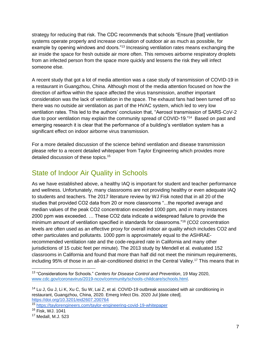strategy for reducing that risk. The CDC recommends that schools "Ensure [that] ventilation systems operate properly and increase circulation of outdoor air as much as possible, for example by opening windows and doors."<sup>13</sup> Increasing ventilation rates means exchanging the air inside the space for fresh outside air more often. This removes airborne respiratory droplets from an infected person from the space more quickly and lessens the risk they will infect someone else.

A recent study that got a lot of media attention was a case study of transmission of COVID-19 in a restaurant in Guangzhou, China. Although most of the media attention focused on how the direction of airflow within the space affected the virus transmission, another important consideration was the lack of ventilation in the space. The exhaust fans had been turned off so there was no outside air ventilation as part of the HVAC system, which led to very low ventilation rates. This led to the authors' conclusion that, "Aerosol transmission of SARS-CoV-2 due to poor ventilation may explain the community spread of COVID-19."<sup>14</sup> Based on past and emerging research it is clear that the performance of a building's ventilation system has a significant effect on indoor airborne virus transmission.

For a more detailed discussion of the science behind ventilation and disease transmission please refer to a recent detailed whitepaper from Taylor Engineering which provides more detailed discussion of these topics.<sup>15</sup>

#### <span id="page-6-0"></span>State of Indoor Air Quality in Schools

As we have established above, a healthy IAQ is important for student and teacher performance and wellness. Unfortunately, many classrooms are not providing healthy or even adequate IAQ to students and teachers. The 2017 literature review by WJ Fisk noted that in all 20 of the studies that provided CO2 data from 20 or more classrooms "...the reported average and median values of the peak CO2 concentration exceeded 1000 ppm, and in many instances 2000 ppm was exceeded. … These CO2 data indicate a widespread failure to provide the minimum amount of ventilation specified in standards for classrooms."<sup>16</sup> (CO2 concentration levels are often used as an effective proxy for overall indoor air quality which includes CO2 and other particulates and pollutants. 1000 ppm is approximately equal to the ASHRAErecommended ventilation rate and the code-required rate in California and many other jurisdictions of 15 cubic feet per minute). The 2013 study by Mendell et al. evaluated 152 classrooms in California and found that more than half did not meet the minimum requirements, including 95% of those in an all-air-conditioned district in the Central Valley.<sup>17</sup> This means that in

<sup>15</sup> <https://taylorengineers.com/taylor-engineering-covid-19-whitepaper>

<sup>13</sup> "Considerations for Schools." *Centers for Disease Control and Prevention*, 19 May 2020, [www.cdc.gov/coronavirus/2019-ncov/community/schools-childcare/schools.html.](www.cdc.gov/coronavirus/2019-ncov/community/schools-childcare/schools.html)

<sup>&</sup>lt;sup>14</sup> Lu J, Gu J, Li K, Xu C, Su W, Lai Z, et al. COVID-19 outbreak associated with air conditioning in restaurant, Guangzhou, China, 2020. Emerg Infect Dis. 2020 Jul [date cited]. <https://doi.org/10.3201/eid2607.200764>

<sup>16</sup> Fisk, WJ. 1041

<sup>17</sup> Medall, M.J. 523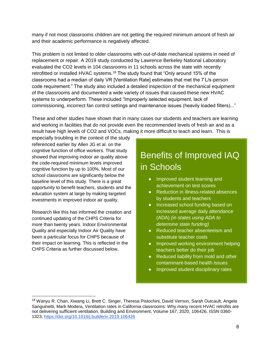many if not most classrooms children are not getting the required minimum amount of fresh air and their academic performance is negatively affected.

This problem is not limited to older classrooms with out-of-date mechanical systems in need of replacement or repair. A 2019 study conducted by Lawrence Berkeley National Laboratory evaluated the CO2 levels in 104 classrooms in 11 schools across the state with recently retrofitted or installed HVAC systems.<sup>18</sup> The study found that "Only around 15% of the classrooms had a median of daily VR [Ventilation Rate] estimates that met the 7 L/s-person code requirement." The study also included a detailed inspection of the mechanical equipment of the classrooms and documented a wide variety of issues that caused these new HVAC systems to underperform. These included "Improperly selected equipment, lack of commissioning, incorrect fan control settings and maintenance issues (heavily loaded filters)..."

These and other studies have shown that in many cases our students and teachers are learning and working in facilities that do not provide even the recommended levels of fresh air and as a result have high levels of CO2 and VOCs, making it more difficult to teach and learn. This is

especially troubling in the context of the study referenced earlier by Allen JG et al. on the cognitive function of office workers. That study showed that improving indoor air quality above the code-required minimum levels improved cognitive function by up to 100%. Most of our school classrooms are significantly below the baseline level of this study. There is a great opportunity to benefit teachers, students and the education system at large by making targeted investments in improved indoor air quality.

Research like this has informed the creation and continued updating of the CHPS Criteria for more than twenty years. Indoor Environmental Quality and especially Indoor Air Quality have been a particular focus for CHPS because of their impact on learning. This is reflected in the CHPS Criteria as further discussed below.

## Benefits of Improved IAQ in Schools

- Improved student learning and achievement on test scores
- Reduction in illness-related absences by students and teachers
- Increased school funding based on increased average daily attendance (ADA) *(in states using ADA to determine state funding)*
- Reduced teacher absenteeism and substitute teacher costs
- Improved working environment helping teachers better do their job
- Reduced liability from mold and other contaminant-based health issues
- Improved student disciplinary rates

<sup>&</sup>lt;sup>18</sup> Wanyu R. Chan, Xiwang Li, Brett C. Singer, Theresa Pistochini, David Vernon, Sarah Outcault, Angela Sanguinetti, Mark Modera, Ventilation rates in California classrooms: Why many recent HVAC retrofits are not delivering sufficient ventilation, Building and Environment, Volume 167, 2020, 106426, ISSN 0360- 1323,<https://doi.org/10.1016/j.buildenv.2019.106426>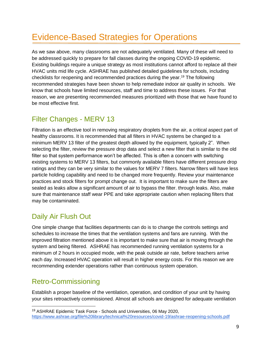## <span id="page-8-0"></span>Evidence-Based Strategies for Operations

As we saw above, many classrooms are not adequately ventilated. Many of these will need to be addressed quickly to prepare for fall classes during the ongoing COVID-19 epidemic. Existing buildings require a unique strategy as most institutions cannot afford to replace all their HVAC units mid life cycle. ASHRAE has published detailed guidelines for schools, including checklists for reopening and recommended practices during the year.<sup>19</sup> The following recommended strategies have been shown to help remediate indoor air quality in schools. We know that schools have limited resources, staff and time to address these issues. For that reason, we are presenting recommended measures prioritized with those that we have found to be most effective first.

#### <span id="page-8-1"></span>Filter Changes - MERV 13

Filtration is an effective tool in removing respiratory droplets from the air, a critical aspect part of healthy classrooms. It is recommended that all filters in HVAC systems be changed to a minimum MERV 13 filter of the greatest depth allowed by the equipment, typically 2". When selecting the filter, review the pressure drop data and select a new filter that is similar to the old filter so that system performance won't be affected. This is often a concern with switching existing systems to MERV 13 filters, but commonly available filters have different pressure drop ratings and they can be very similar to the values for MERV 7 filters. Narrow filters will have less particle holding capability and need to be changed more frequently. Review your maintenance practices and stock filters for prompt change out. It is important to make sure the filters are sealed as leaks allow a significant amount of air to bypass the filter. through leaks. Also, make sure that maintenance staff wear PPE and take appropriate caution when replacing filters that may be contaminated.

### <span id="page-8-2"></span>Daily Air Flush Out

One simple change that facilities departments can do is to change the controls settings and schedules to increase the times that the ventilation systems and fans are running. With the improved filtration mentioned above it is important to make sure that air is moving through the system and being filtered. ASHRAE has recommended running ventilation systems for a minimum of 2 hours in occupied mode, with the peak outside air rate, before teachers arrive each day. Increased HVAC operation will result in higher energy costs. For this reason we are recommending extender operations rather than continuous system operation.

#### <span id="page-8-3"></span>Retro-Commissioning

Establish a proper baseline of the ventilation, operation, and condition of your unit by having your sites retroactively commissioned. Almost all schools are designed for adequate ventilation

<sup>19</sup> ASHRAE Epidemic Task Force - Schools and Universities, 06 May 2020, <https://www.ashrae.org/file%20library/technical%20resources/covid-19/ashrae-reopening-schools.pdf>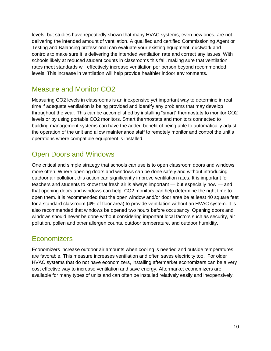levels, but studies have repeatedly shown that many HVAC systems, even new ones, are not delivering the intended amount of ventilation. A qualified and certified Commissioning Agent or Testing and Balancing professional can evaluate your existing equipment, ductwork and controls to make sure it is delivering the intended ventilation rate and correct any issues. With schools likely at reduced student counts in classrooms this fall, making sure that ventilation rates meet standards will effectively increase ventilation per person beyond recommended levels. This increase in ventilation will help provide healthier indoor environments.

#### <span id="page-9-0"></span>Measure and Monitor CO2

Measuring CO2 levels in classrooms is an inexpensive yet important way to determine in real time if adequate ventilation is being provided and identify any problems that may develop throughout the year. This can be accomplished by installing "smart" thermostats to monitor CO2 levels or by using portable CO2 monitors. Smart thermostats and monitors connected to building management systems can have the added benefit of being able to automatically adjust the operation of the unit and allow maintenance staff to remotely monitor and control the unit's operations where compatible equipment is installed.

#### <span id="page-9-1"></span>Open Doors and Windows

One critical and simple strategy that schools can use is to open classroom doors and windows more often. Where opening doors and windows can be done safely and without introducing outdoor air pollution, this action can significantly improve ventilation rates. It is important for teachers and students to know that fresh air is always important — but especially now — and that opening doors and windows can help. CO2 monitors can help determine the right time to open them. It is recommended that the open window and/or door area be at least 40 square feet for a standard classroom (4% of floor area) to provide ventilation without an HVAC system. It is also recommended that windows be opened two hours before occupancy. Opening doors and windows should never be done without considering important local factors such as security, air pollution, pollen and other allergen counts, outdoor temperature, and outdoor humidity.

#### <span id="page-9-2"></span>**Economizers**

Economizers increase outdoor air amounts when cooling is needed and outside temperatures are favorable. This measure increases ventilation and often saves electricity too. For older HVAC systems that do not have economizers, installing aftermarket economizers can be a very cost effective way to increase ventilation and save energy. Aftermarket economizers are available for many types of units and can often be installed relatively easily and inexpensively.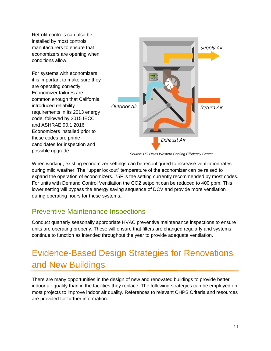<span id="page-10-1"></span>Retrofit controls can also be installed by most controls manufacturers to ensure that economizers are opening when conditions allow.

For systems with economizers it is important to make sure they are operating correctly. Economizer failures are common enough that California introduced reliability requirements in its 2013 energy code, followed by 2015 IECC and ASHRAE 90.1 2016. Economizers installed prior to these codes are prime candidates for inspection and possible upgrade.



*Source: UC Davis Western Cooling Efficiency Center*

When working, existing economizer settings can be reconfigured to increase ventilation rates during mild weather. The "upper lockout" temperature of the economizer can be raised to expand the operation of economizers. 75F is the setting currently recommended by most codes. For units with Demand Control Ventilation the CO2 setpoint can be reduced to 400 ppm. This lower setting will bypass the energy saving sequence of DCV and provide more ventilation during operating hours for these systems..

#### <span id="page-10-0"></span>Preventive Maintenance Inspections

Conduct quarterly seasonally appropriate HVAC preventive maintenance inspections to ensure units are operating properly. These will ensure that filters are changed regularly and systems continue to function as intended throughout the year to provide adequate ventilation.

## Evidence-Based Design Strategies for Renovations and New Buildings

There are many opportunities in the design of new and renovated buildings to provide better indoor air quality than in the facilities they replace. The following strategies can be employed on most projects to improve indoor air quality. References to relevant CHPS Criteria and resources are provided for further information.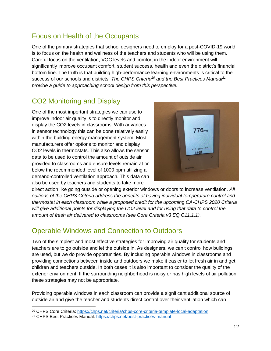#### <span id="page-11-0"></span>Focus on Health of the Occupants

One of the primary strategies that school designers need to employ for a post-COVID-19 world is to focus on the health and wellness of the teachers and students who will be using them. Careful focus on the ventilation, VOC levels and comfort in the indoor environment will significantly improve occupant comfort, student success, health and even the district's financial bottom line. The truth is that building high-performance learning environments is critical to the success of our schools and districts. *The CHPS Criteria<sup>20</sup> and the Best Practices Manual<sup>21</sup> provide a guide to approaching school design from this perspective.*

#### <span id="page-11-1"></span>CO2 Monitoring and Display

One of the most important strategies we can use to improve indoor air quality is to directly monitor and display the CO2 levels in classrooms. With advances in sensor technology this can be done relatively easily within the building energy management system. Most manufacturers offer options to monitor and display CO2 levels in thermostats. This also allows the sensor data to be used to control the amount of outside air provided to classrooms and ensure levels remain at or below the recommended level of 1000 ppm utilizing a demand-controlled ventilation approach. This data can also be used by teachers and students to take more



direct action like going outside or opening exterior windows or doors to increase ventilation. *All editions of the CHPS Criteria address the benefits of having individual temperature control and thermostat in each classroom while a proposed credit for the upcoming CA-CHPS 2020 Criteria will give additional points for displaying the CO2 level and for using that data to control the amount of fresh air delivered to classrooms (see Core Criteria v3 EQ C11.1.1).* 

#### <span id="page-11-2"></span>Operable Windows and Connection to Outdoors

Two of the simplest and most effective strategies for improving air quality for students and teachers are to go outside and let the outside in. As designers, we can't control how buildings are used, but we do provide opportunities. By including operable windows in classrooms and providing connections between inside and outdoors we make it easier to let fresh air in and get children and teachers outside. In both cases it is also important to consider the quality of the exterior environment. If the surrounding neighborhood is noisy or has high levels of air pollution, these strategies may not be appropriate.

Providing operable windows in each classroom can provide a significant additional source of outside air and give the teacher and students direct control over their ventilation which can

 $\overline{a}$ 

<sup>20</sup> CHPS Core Criteria: <https://chps.net/criteria/chps-core-criteria-template-local-adaptation>

<sup>&</sup>lt;sup>21</sup> CHPS Best Practices Manual: <https://chps.net/best-practices-manual>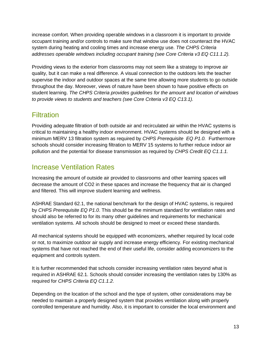increase comfort. When providing operable windows in a classroom it is important to provide occupant training and/or controls to make sure that window use does not counteract the HVAC system during heating and cooling times and increase energy use. *The CHPS Criteria addresses operable windows including occupant training (see Core Criteria v3 EQ C11.1.2).* 

Providing views to the exterior from classrooms may not seem like a strategy to improve air quality, but it can make a real difference. A visual connection to the outdoors lets the teacher supervise the indoor and outdoor spaces at the same time allowing more students to go outside throughout the day. Moreover, views of nature have been shown to have positive effects on student learning. *The CHPS Criteria provides guidelines for the amount and location of windows to provide views to students and teachers (see Core Criteria v3 EQ C13.1).* 

#### <span id="page-12-0"></span>**Filtration**

Providing adequate filtration of both outside air and recirculated air within the HVAC systems is critical to maintaining a healthy indoor environment. HVAC systems should be designed with a minimum MERV 13 filtration system as required by *CHPS Prerequisite EQ P1.0.* Furthermore schools should consider increasing filtration to MERV 15 systems to further reduce indoor air pollution and the potential for disease transmission as required by *CHPS Credit EQ C1.1.1.*

#### <span id="page-12-1"></span>Increase Ventilation Rates

Increasing the amount of outside air provided to classrooms and other learning spaces will decrease the amount of CO2 in these spaces and increase the frequency that air is changed and filtered. This will improve student learning and wellness.

ASHRAE Standard 62.1, the national benchmark for the design of HVAC systems, is required by *CHPS Prerequisite EQ P1.0*. This should be the minimum standard for ventilation rates and should also be referred to for its many other guidelines and requirements for mechanical ventilation systems. All schools should be designed to meet or exceed these standards.

All mechanical systems should be equipped with economizers, whether required by local code or not, to maximize outdoor air supply and increase energy efficiency. For existing mechanical systems that have not reached the end of their useful life, consider adding economizers to the equipment and controls system.

It is further recommended that schools consider increasing ventilation rates beyond what is required in ASHRAE 62.1. Schools should consider increasing the ventilation rates by 130% as required for *CHPS Criteria EQ C1.1.2.*

Depending on the location of the school and the type of system, other considerations may be needed to maintain a properly designed system that provides ventilation along with properly controlled temperature and humidity. Also, it is important to consider the local environment and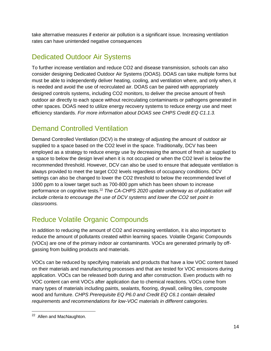take alternative measures if exterior air pollution is a significant issue. Increasing ventilation rates can have unintended negative consequences

#### <span id="page-13-0"></span>Dedicated Outdoor Air Systems

To further increase ventilation and reduce CO2 and disease transmission, schools can also consider designing Dedicated Outdoor Air Systems (DOAS). DOAS can take multiple forms but must be able to independently deliver heating, cooling, and ventilation where, and only when, it is needed and avoid the use of recirculated air. DOAS can be paired with appropriately designed controls systems, including CO2 monitors, to deliver the precise amount of fresh outdoor air directly to each space without recirculating contaminants or pathogens generated in other spaces. DOAS need to utilize energy recovery systems to reduce energy use and meet efficiency standards. *For more information about DOAS see CHPS Credit EQ C1.1.3.* 

#### Demand Controlled Ventilation

Demand Controlled Ventilation (DCV) is the strategy of adjusting the amount of outdoor air supplied to a space based on the CO2 level in the space. Traditionally, DCV has been employed as a strategy to reduce energy use by decreasing the amount of fresh air supplied to a space to below the design level when it is not occupied or when the CO2 level is below the recommended threshold. However, DCV can also be used to ensure that adequate ventilation is always provided to meet the target CO2 levels regardless of occupancy conditions. DCV settings can also be changed to lower the CO2 threshold to below the recommended level of 1000 ppm to a lower target such as 700-800 ppm which has been shown to increase performance on cognitive tests.<sup>22</sup> *The CA-CHPS 2020 update underway as of publication will include criteria to encourage the use of DCV systems and lower the CO2 set point in classrooms.* 

#### <span id="page-13-1"></span>Reduce Volatile Organic Compounds

In addition to reducing the amount of CO2 and increasing ventilation, it is also important to reduce the amount of pollutants created within learning spaces. Volatile Organic Compounds (VOCs) are one of the primary indoor air contaminants. VOCs are generated primarily by offgassing from building products and materials.

VOCs can be reduced by specifying materials and products that have a low VOC content based on their materials and manufacturing processes and that are tested for VOC emissions during application. VOCs can be released both during and after construction. Even products with no VOC content can emit VOCs after application due to chemical reactions. VOCs come from many types of materials including paints, sealants, flooring, drywall, ceiling tiles, composite wood and furniture. *CHPS Prerequisite EQ P6.0 and Credit EQ C6.1 contain detailed requirements and recommendations for low-VOC materials in different categories.* 

<sup>&</sup>lt;sup>22</sup> Allen and MacNaughton.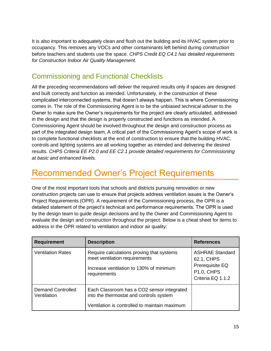It is also important to adequately clean and flush out the building and its HVAC system prior to occupancy. This removes any VOCs and other contaminants left behind during construction before teachers and students use the space. *CHPS Credit EQ C4.1 has detailed requirements for Construction Indoor Air Quality Management.* 

#### <span id="page-14-0"></span>Commissioning and Functional Checklists

All the preceding recommendations will deliver the required results only if spaces are designed and built correctly and function as intended. Unfortunately, in the construction of these complicated interconnected systems, that doesn't always happen. This is where Commissioning comes in. The role of the Commissioning Agent is to be the unbiased technical adviser to the Owner to make sure the Owner's requirements for the project are clearly articulated, addressed in the design and that the design is properly constructed and functions as intended. A Commissioning Agent should be involved throughout the design and construction process as part of the integrated design team. A critical part of the Commissioning Agent's scope of work is to complete functional checklists at the end of construction to ensure that the building HVAC, controls and lighting systems are all working together as intended and delivering the desired results. *CHPS Criteria EE P2.0 and EE C2.1 provide detailed requirements for Commissioning at basic and enhanced levels.* 

## Recommended Owner's Project Requirements

One of the most important tools that schools and districts pursuing renovation or new construction projects can use to ensure that projects address ventilation issues is the Owner's Project Requirements (OPR). A requirement of the Commissioning process, the OPR is a detailed statement of the project's technical and performance requirements. The OPR is used by the design team to guide design decisions and by the Owner and Commissioning Agent to evaluate the design and construction throughout the project. Below is a cheat sheet for items to address in the OPR related to ventilation and indoor air quality:

| <b>Requirement</b>                      | <b>Description</b>                                                                                                                     | <b>References</b>                                                                                 |
|-----------------------------------------|----------------------------------------------------------------------------------------------------------------------------------------|---------------------------------------------------------------------------------------------------|
| <b>Ventilation Rates</b>                | Require calculations proving that systems<br>meet ventilation requirements<br>Increase ventilation to 130% of minimum<br>requirements  | <b>ASHRAE Standard</b><br>62.1, CHPS<br>Prerequisite EQ<br><b>P1.0, CHPS</b><br>Criteria EQ 1.1.2 |
| <b>Demand Controlled</b><br>Ventilation | Each Classroom has a CO2 sensor integrated<br>into the thermostat and controls system<br>Ventilation is controlled to maintain maximum |                                                                                                   |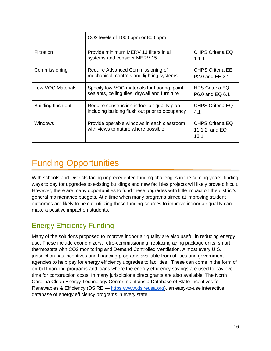<span id="page-15-0"></span>

|                    | CO <sub>2</sub> levels of 1000 ppm or 800 ppm                                                    |                                                        |
|--------------------|--------------------------------------------------------------------------------------------------|--------------------------------------------------------|
| <b>Filtration</b>  | Provide minimum MERV 13 filters in all<br>systems and consider MERV 15                           | <b>CHPS Criteria EQ</b><br>1.1.1                       |
| Commissioning      | Require Advanced Commissioning of<br>mechanical, controls and lighting systems                   | <b>CHPS Criteria EE</b><br>P <sub>2.0</sub> and EE 2.1 |
| Low-VOC Materials  | Specify low-VOC materials for flooring, paint,<br>sealants, ceiling tiles, drywall and furniture | <b>HPS Criteria EQ</b><br>P6.0 and EQ 6.1              |
| Building flush out | Require construction indoor air quality plan<br>including building flush out prior to occupancy  | <b>CHPS Criteria EQ</b><br>4.1                         |
| <b>Windows</b>     | Provide operable windows in each classroom<br>with views to nature where possible                | <b>CHPS Criteria EQ</b><br>11.1.2 and $EQ$<br>13.1     |

## Funding Opportunities

With schools and Districts facing unprecedented funding challenges in the coming years, finding ways to pay for upgrades to existing buildings and new facilities projects will likely prove difficult. However, there are many opportunities to fund these upgrades with little impact on the district's general maintenance budgets. At a time when many programs aimed at improving student outcomes are likely to be cut, utilizing these funding sources to improve indoor air quality can make a positive impact on students.

#### <span id="page-15-1"></span>Energy Efficiency Funding

Many of the solutions proposed to improve indoor air quality are also useful in reducing energy use. These include economizers, retro-commissioning, replacing aging package units, smart thermostats with CO2 monitoring and Demand Controlled Ventilation. Almost every U.S. jurisdiction has incentives and financing programs available from utilities and government agencies to help pay for energy efficiency upgrades to facilities. These can come in the form of on-bill financing programs and loans where the energy efficiency savings are used to pay over time for construction costs. In many jurisdictions direct grants are also available. The North Carolina Clean Energy Technology Center maintains a Database of State Incentives for Renewables & Efficiency (DSIRE — [https://www.dsireusa.org\)](https://www.dsireusa.org/), an easy-to-use interactive database of energy efficiency programs in every state.